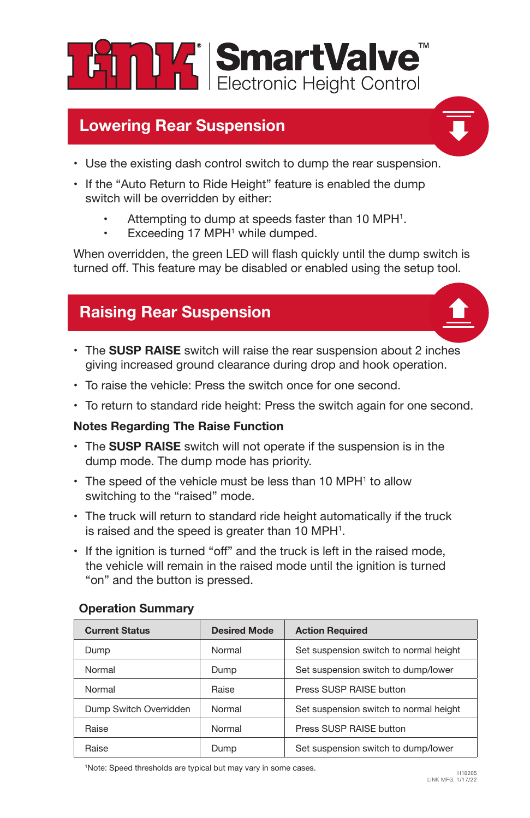

## **Lowering Rear Suspension**

- Use the existing dash control switch to dump the rear suspension.
- If the "Auto Return to Ride Height" feature is enabled the dump switch will be overridden by either:
	- Attempting to dump at speeds faster than 10 MPH<sup>1</sup>.
	- Exceeding 17 MPH<sup>1</sup> while dumped.

When overridden, the green LED will flash quickly until the dump switch is turned off. This feature may be disabled or enabled using the setup tool.

## **Raising Rear Suspension**

- The **SUSP RAISE** switch will raise the rear suspension about 2 inches giving increased ground clearance during drop and hook operation.
- To raise the vehicle: Press the switch once for one second.
- To return to standard ride height: Press the switch again for one second.

### **Notes Regarding The Raise Function**

- The **SUSP RAISE** switch will not operate if the suspension is in the dump mode. The dump mode has priority.
- The speed of the vehicle must be less than 10 MPH<sup>1</sup> to allow switching to the "raised" mode.
- The truck will return to standard ride height automatically if the truck is raised and the speed is greater than 10 MPH $^{\rm 1}.$
- If the ignition is turned "off" and the truck is left in the raised mode, the vehicle will remain in the raised mode until the ignition is turned "on" and the button is pressed.

| <b>Current Status</b>  | <b>Desired Mode</b> | <b>Action Required</b>                 |
|------------------------|---------------------|----------------------------------------|
| Dump                   | Normal              | Set suspension switch to normal height |
| Normal                 | Dump                | Set suspension switch to dump/lower    |
| Normal                 | Raise               | Press SUSP RAISE button                |
| Dump Switch Overridden | Normal              | Set suspension switch to normal height |
| Raise                  | Normal              | Press SUSP RAISE button                |
| Raise                  | Dump                | Set suspension switch to dump/lower    |

### **Operation Summary**

<sup>1</sup>Note: Speed thresholds are typical but may vary in some cases.